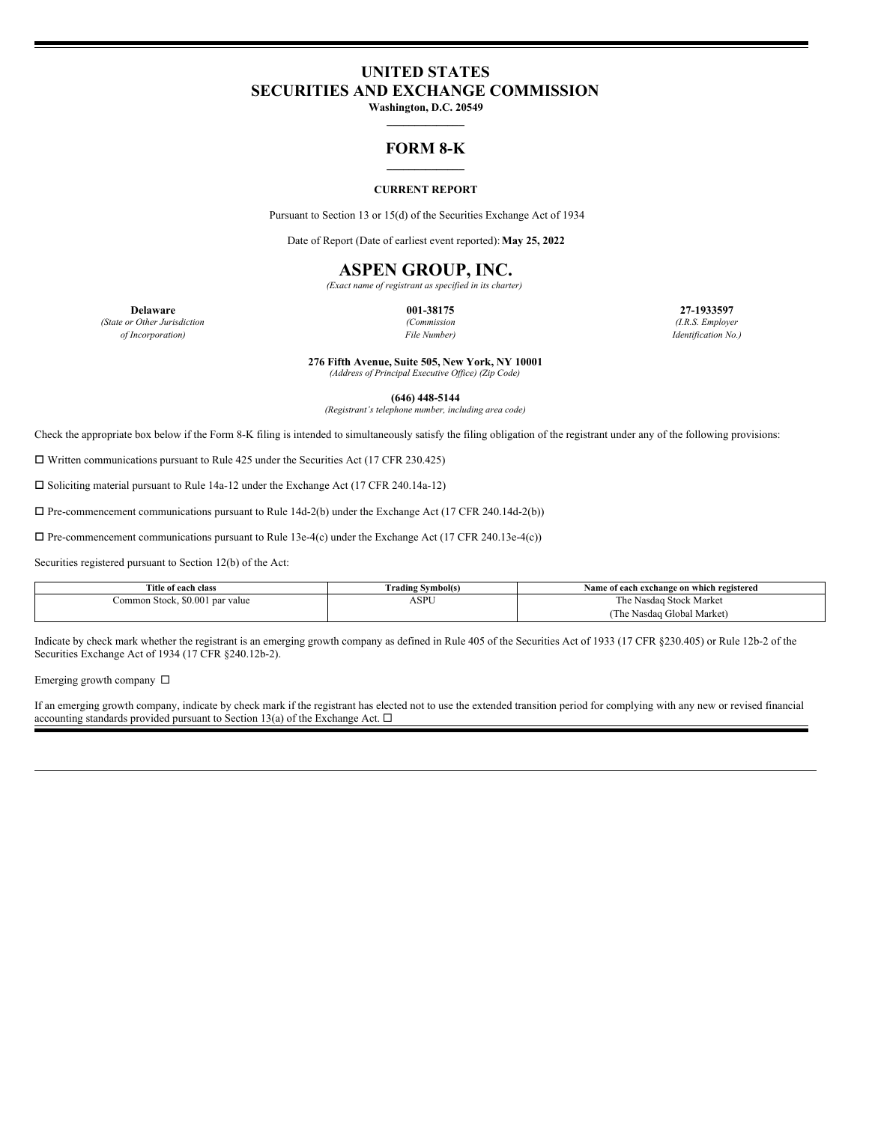# **UNITED STATES SECURITIES AND EXCHANGE COMMISSION**

**Washington, D.C. 20549 \_\_\_\_\_\_\_\_\_\_\_\_\_\_**

### **FORM 8-K \_\_\_\_\_\_\_\_\_\_\_\_\_\_**

#### **CURRENT REPORT**

Pursuant to Section 13 or 15(d) of the Securities Exchange Act of 1934

Date of Report (Date of earliest event reported):**May 25, 2022**

## **ASPEN GROUP, INC.**

*(Exact name of registrant as specified in its charter)*

*(State or Other Jurisdiction (Commission (I.R.S. Employer*

**Delaware 001-38175 27-1933597** *of Incorporation) File Number) Identification No.)*

**276 Fifth Avenue, Suite 505, New York, NY 10001**

*(Address of Principal Executive Of ice) (Zip Code)*

**(646) 448-5144**

*(Registrant's telephone number, including area code)*

Check the appropriate box below if the Form 8-K filing is intended to simultaneously satisfy the filing obligation of the registrant under any of the following provisions:

 $\Box$  Written communications pursuant to Rule 425 under the Securities Act (17 CFR 230.425)

 $\square$  Soliciting material pursuant to Rule 14a-12 under the Exchange Act (17 CFR 240.14a-12)

 $\Box$  Pre-commencement communications pursuant to Rule 14d-2(b) under the Exchange Act (17 CFR 240.14d-2(b))

 $\Box$  Pre-commencement communications pursuant to Rule 13e-4(c) under the Exchange Act (17 CFR 240.13e-4(c))

Securities registered pursuant to Section 12(b) of the Act:

| Title of each class             | [ˈrading Svmbol(s) | Name of each exchange on which registered |
|---------------------------------|--------------------|-------------------------------------------|
| Common Stock, \$0.001 par value | ASPU               | The Nasdag Stock Market                   |
|                                 |                    | (The Nasdaq Global Market)                |

Indicate by check mark whether the registrant is an emerging growth company as defined in Rule 405 of the Securities Act of 1933 (17 CFR §230.405) or Rule 12b-2 of the Securities Exchange Act of 1934 (17 CFR §240.12b-2).

Emerging growth company  $\square$ 

If an emerging growth company, indicate by check mark if the registrant has elected not to use the extended transition period for complying with any new or revised financial accounting standards provided pursuant to Section 13(a) of the Exchange Act.  $\Box$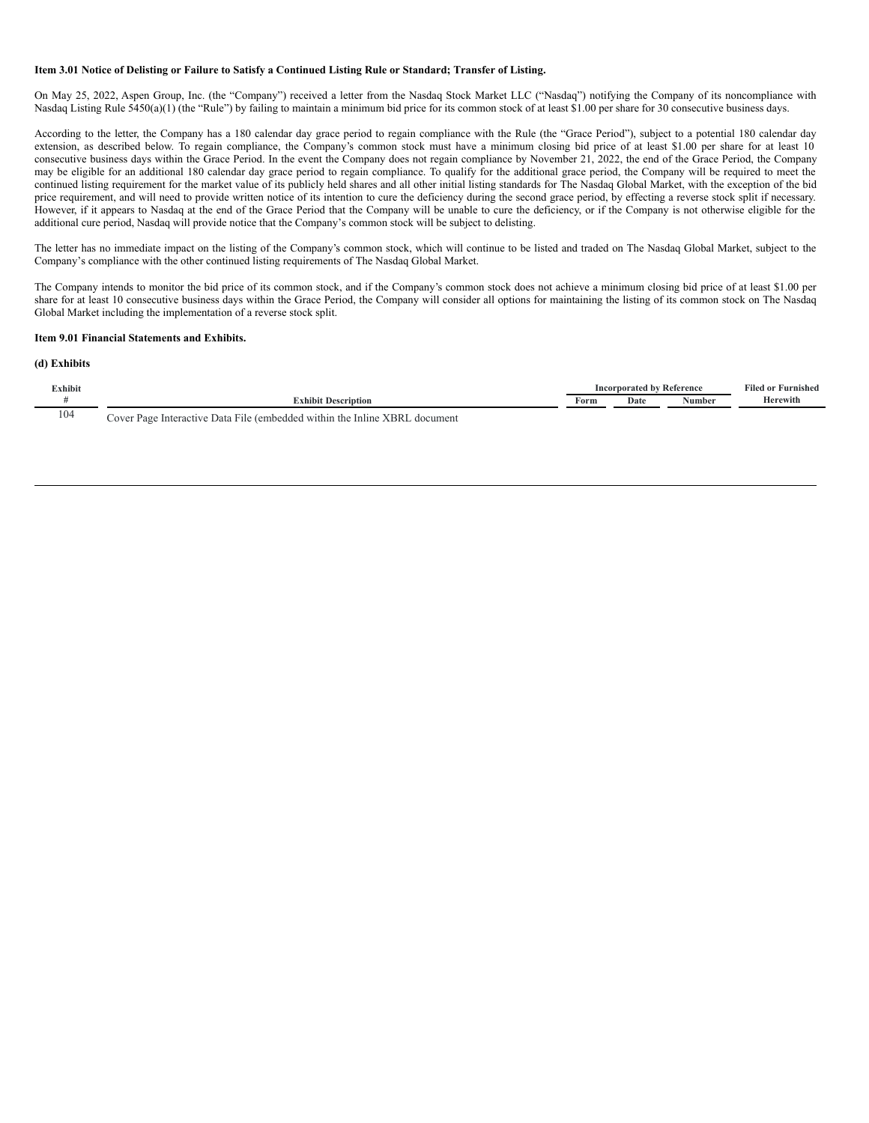#### Item 3.01 Notice of Delisting or Failure to Satisfy a Continued Listing Rule or Standard; Transfer of Listing.

On May 25, 2022, Aspen Group, Inc. (the "Company") received a letter from the Nasdaq Stock Market LLC ("Nasdaq") notifying the Company of its noncompliance with Nasdaq Listing Rule 5450(a)(1) (the "Rule") by failing to maintain a minimum bid price for its common stock of at least \$1.00 per share for 30 consecutive business days.

According to the letter, the Company has a 180 calendar day grace period to regain compliance with the Rule (the "Grace Period"), subject to a potential 180 calendar day extension, as described below. To regain compliance, the Company's common stock must have a minimum closing bid price of at least \$1.00 per share for at least 10 consecutive business days within the Grace Period. In the event the Company does not regain compliance by November 21, 2022, the end of the Grace Period, the Company may be eligible for an additional 180 calendar day grace period to regain compliance. To qualify for the additional grace period, the Company will be required to meet the continued listing requirement for the market value of its publicly held shares and all other initial listing standards for The Nasdaq Global Market, with the exception of the bid price requirement, and will need to provide written notice of its intention to cure the deficiency during the second grace period, by effecting a reverse stock split if necessary. However, if it appears to Nasdaq at the end of the Grace Period that the Company will be unable to cure the deficiency, or if the Company is not otherwise eligible for the additional cure period, Nasdaq will provide notice that the Company's common stock will be subject to delisting.

The letter has no immediate impact on the listing of the Company's common stock, which will continue to be listed and traded on The Nasdaq Global Market, subject to the Company's compliance with the other continued listing requirements of The Nasdaq Global Market.

The Company intends to monitor the bid price of its common stock, and if the Company's common stock does not achieve a minimum closing bid price of at least \$1.00 per share for at least 10 consecutive business days within the Grace Period, the Company will consider all options for maintaining the listing of its common stock on The Nasdaq Global Market including the implementation of a reverse stock split.

#### **Item 9.01 Financial Statements and Exhibits.**

#### **(d) Exhibits**

| <b>Exhibit</b> |                                                                                                           |      | Incorporated by Reference | <b>Filed or Furnished</b> |          |
|----------------|-----------------------------------------------------------------------------------------------------------|------|---------------------------|---------------------------|----------|
|                | <b>Exhibit Description</b>                                                                                | Form | Date                      | Number                    | Herewith |
| 104            | $-1$<br><b>XBRI</b><br>File (embedded within the Inline)<br>document<br>Interactive Data<br>cover<br>Page |      |                           |                           |          |